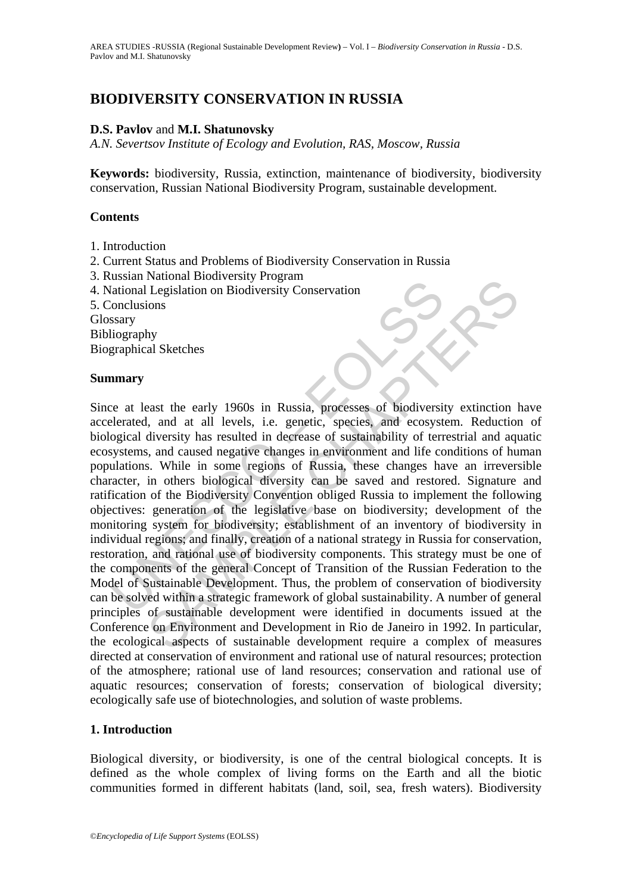# **BIODIVERSITY CONSERVATION IN RUSSIA**

## **D.S. Pavlov** and **M.I. Shatunovsky**

*A.N. Severtsov Institute of Ecology and Evolution, RAS, Moscow, Russia* 

**Keywords:** biodiversity, Russia, extinction, maintenance of biodiversity, biodiversity conservation, Russian National Biodiversity Program, sustainable development.

## **Contents**

- 1. Introduction
- 2. Current Status and Problems of Biodiversity Conservation in Russia
- 3. Russian National Biodiversity Program
- 4. National Legislation on Biodiversity Conservation
- 5. Conclusions

Glossary

Bibliography

Biographical Sketches

### **Summary**

Examinational Legislation on Biodiversity Conservation<br>
(ational Legislation on Biodiversity Conservation<br>
(onclusions<br>
ssary<br>
lography<br>
graphical Sketches<br> **mary**<br>
e at least the early 1960s in Russia, processes of biodiv Consideration on Biodiversity Trogram<br>
Legislation on Biodiversity Conservation<br>
hy<br>
al Sketches<br>
hy<br>
al Sketches<br>
hy<br>
al Sketches<br>
diversity has resulted in decrease of such and ecosystem. Reduction<br>
diversity has resulte Since at least the early 1960s in Russia, processes of biodiversity extinction have accelerated, and at all levels, i.e. genetic, species, and ecosystem. Reduction of biological diversity has resulted in decrease of sustainability of terrestrial and aquatic ecosystems, and caused negative changes in environment and life conditions of human populations. While in some regions of Russia, these changes have an irreversible character, in others biological diversity can be saved and restored. Signature and ratification of the Biodiversity Convention obliged Russia to implement the following objectives: generation of the legislative base on biodiversity; development of the monitoring system for biodiversity; establishment of an inventory of biodiversity in individual regions; and finally, creation of a national strategy in Russia for conservation, restoration, and rational use of biodiversity components. This strategy must be one of the components of the general Concept of Transition of the Russian Federation to the Model of Sustainable Development. Thus, the problem of conservation of biodiversity can be solved within a strategic framework of global sustainability. A number of general principles of sustainable development were identified in documents issued at the Conference on Environment and Development in Rio de Janeiro in 1992. In particular, the ecological aspects of sustainable development require a complex of measures directed at conservation of environment and rational use of natural resources; protection of the atmosphere; rational use of land resources; conservation and rational use of aquatic resources; conservation of forests; conservation of biological diversity; ecologically safe use of biotechnologies, and solution of waste problems.

### **1. Introduction**

Biological diversity, or biodiversity, is one of the central biological concepts. It is defined as the whole complex of living forms on the Earth and all the biotic communities formed in different habitats (land, soil, sea, fresh waters). Biodiversity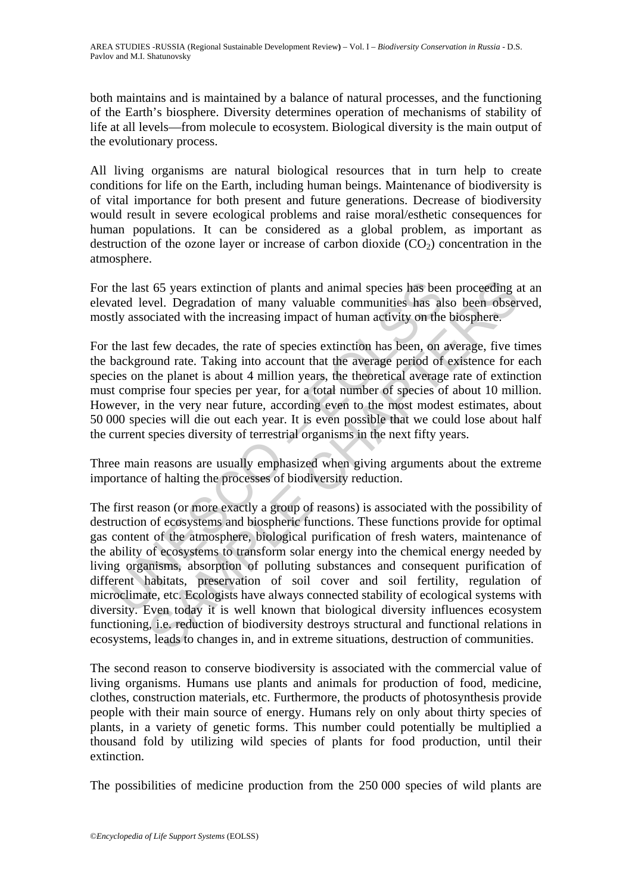both maintains and is maintained by a balance of natural processes, and the functioning of the Earth's biosphere. Diversity determines operation of mechanisms of stability of life at all levels—from molecule to ecosystem. Biological diversity is the main output of the evolutionary process.

All living organisms are natural biological resources that in turn help to create conditions for life on the Earth, including human beings. Maintenance of biodiversity is of vital importance for both present and future generations. Decrease of biodiversity would result in severe ecological problems and raise moral/esthetic consequences for human populations. It can be considered as a global problem, as important as destruction of the ozone layer or increase of carbon dioxide  $(CO<sub>2</sub>)$  concentration in the atmosphere.

For the last 65 years extinction of plants and animal species has been proceeding at an elevated level. Degradation of many valuable communities has also been observed, mostly associated with the increasing impact of human activity on the biosphere.

For the last few decades, the rate of species extinction has been, on average, five times the background rate. Taking into account that the average period of existence for each species on the planet is about 4 million years, the theoretical average rate of extinction must comprise four species per year, for a total number of species of about 10 million. However, in the very near future, according even to the most modest estimates, about 50 000 species will die out each year. It is even possible that we could lose about half the current species diversity of terrestrial organisms in the next fifty years.

Three main reasons are usually emphasized when giving arguments about the extreme importance of halting the processes of biodiversity reduction.

the last 65 years extinction of plants and animal species has bee<br>ated level. Degradation of many valuable communities has altly associated with the increasing impact of human activity on the<br>the last few decades, the rate t 65 years extinction of plants and animal species has been proceeding a<br>vel. Degradation of many valuable communities has also been obser<br>coiated with the increasing impact of human activity on the biosphere.<br>
few decades The first reason (or more exactly a group of reasons) is associated with the possibility of destruction of ecosystems and biospheric functions. These functions provide for optimal gas content of the atmosphere, biological purification of fresh waters, maintenance of the ability of ecosystems to transform solar energy into the chemical energy needed by living organisms, absorption of polluting substances and consequent purification of different habitats, preservation of soil cover and soil fertility, regulation of microclimate, etc. Ecologists have always connected stability of ecological systems with diversity. Even today it is well known that biological diversity influences ecosystem functioning, i.e. reduction of biodiversity destroys structural and functional relations in ecosystems, leads to changes in, and in extreme situations, destruction of communities.

The second reason to conserve biodiversity is associated with the commercial value of living organisms. Humans use plants and animals for production of food, medicine, clothes, construction materials, etc. Furthermore, the products of photosynthesis provide people with their main source of energy. Humans rely on only about thirty species of plants, in a variety of genetic forms. This number could potentially be multiplied a thousand fold by utilizing wild species of plants for food production, until their extinction.

The possibilities of medicine production from the 250 000 species of wild plants are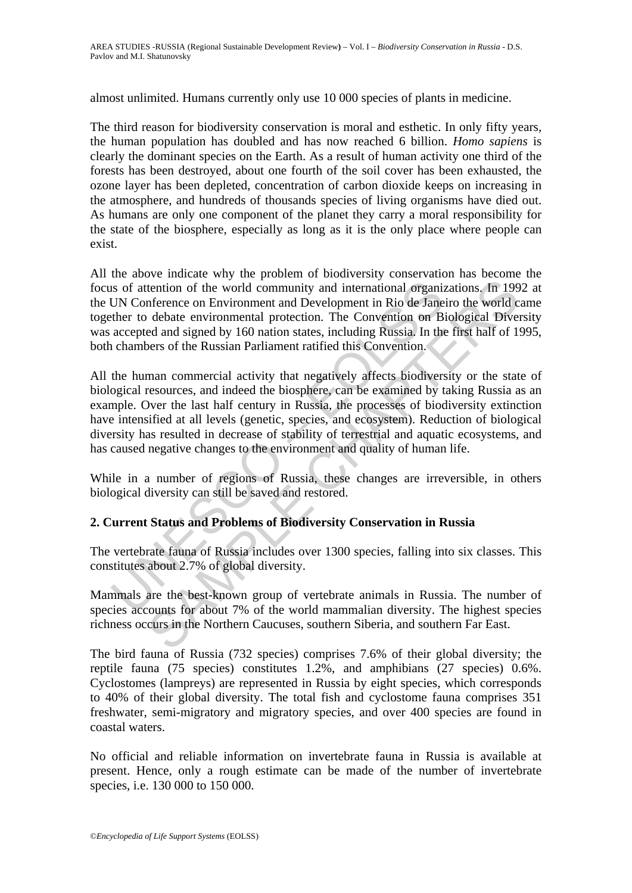almost unlimited. Humans currently only use 10 000 species of plants in medicine.

The third reason for biodiversity conservation is moral and esthetic. In only fifty years, the human population has doubled and has now reached 6 billion. *Homo sapiens* is clearly the dominant species on the Earth. As a result of human activity one third of the forests has been destroyed, about one fourth of the soil cover has been exhausted, the ozone layer has been depleted, concentration of carbon dioxide keeps on increasing in the atmosphere, and hundreds of thousands species of living organisms have died out. As humans are only one component of the planet they carry a moral responsibility for the state of the biosphere, especially as long as it is the only place where people can exist.

All the above indicate why the problem of biodiversity conservation has become the focus of attention of the world community and international organizations. In 1992 at the UN Conference on Environment and Development in Rio de Janeiro the world came together to debate environmental protection. The Convention on Biological Diversity was accepted and signed by 160 nation states, including Russia. In the first half of 1995, both chambers of the Russian Parliament ratified this Convention.

Is of attention of the world community and international organiz<br>
UN Conference on Environment and Development in Rio de Jane<br>
ther to debate environmental protection. The Convention on B<br>
accepted and signed by 160 nation tention of the world community and international organizations, In 199<br>Inference on Environment and Development in Rio de Janeiro the world cobate<br>evaluations of the world content and Development in Rio de Janeiro the worl All the human commercial activity that negatively affects biodiversity or the state of biological resources, and indeed the biosphere, can be examined by taking Russia as an example. Over the last half century in Russia, the processes of biodiversity extinction have intensified at all levels (genetic, species, and ecosystem). Reduction of biological diversity has resulted in decrease of stability of terrestrial and aquatic ecosystems, and has caused negative changes to the environment and quality of human life.

While in a number of regions of Russia, these changes are irreversible, in others biological diversity can still be saved and restored.

# **2. Current Status and Problems of Biodiversity Conservation in Russia**

The vertebrate fauna of Russia includes over 1300 species, falling into six classes. This constitutes about 2.7% of global diversity.

Mammals are the best-known group of vertebrate animals in Russia. The number of species accounts for about 7% of the world mammalian diversity. The highest species richness occurs in the Northern Caucuses, southern Siberia, and southern Far East.

The bird fauna of Russia (732 species) comprises 7.6% of their global diversity; the reptile fauna (75 species) constitutes 1.2%, and amphibians (27 species) 0.6%. Cyclostomes (lampreys) are represented in Russia by eight species, which corresponds to 40% of their global diversity. The total fish and cyclostome fauna comprises 351 freshwater, semi-migratory and migratory species, and over 400 species are found in coastal waters.

No official and reliable information on invertebrate fauna in Russia is available at present. Hence, only a rough estimate can be made of the number of invertebrate species, i.e. 130 000 to 150 000.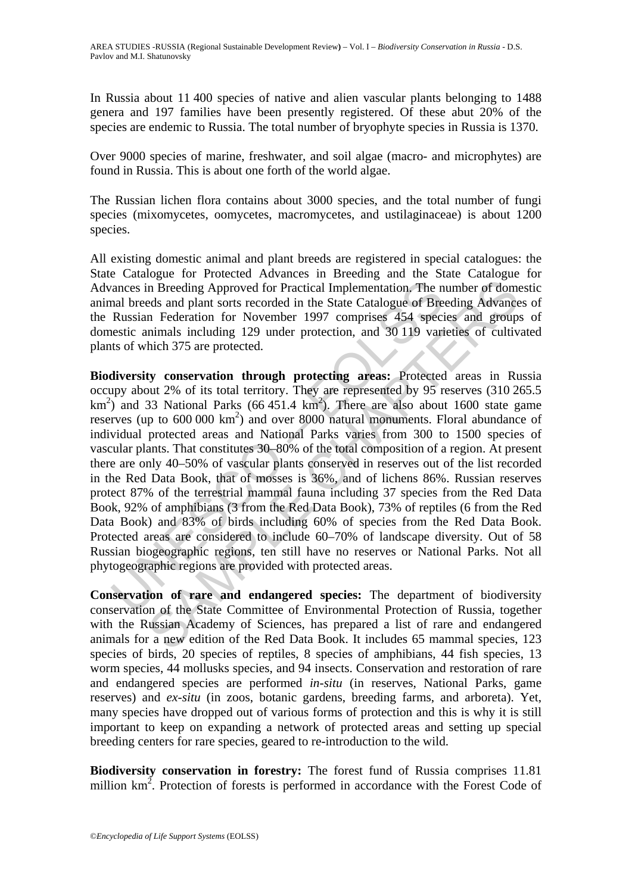In Russia about 11 400 species of native and alien vascular plants belonging to 1488 genera and 197 families have been presently registered. Of these abut 20% of the species are endemic to Russia. The total number of bryophyte species in Russia is 1370.

Over 9000 species of marine, freshwater, and soil algae (macro- and microphytes) are found in Russia. This is about one forth of the world algae.

The Russian lichen flora contains about 3000 species, and the total number of fungi species (mixomycetes, oomycetes, macromycetes, and ustilaginaceae) is about 1200 species.

All existing domestic animal and plant breeds are registered in special catalogues: the State Catalogue for Protected Advances in Breeding and the State Catalogue for Advances in Breeding Approved for Practical Implementation. The number of domestic animal breeds and plant sorts recorded in the State Catalogue of Breeding Advances of the Russian Federation for November 1997 comprises 454 species and groups of domestic animals including 129 under protection, and 30 119 varieties of cultivated plants of which 375 are protected.

rances in Breeding Approved for Practical Implementation. The n<br>and breeds and plant sorts recorded in the State Catalogue of Bre<br>Russian Federation for November 1997 comprises 454 speciestic animals including 129 under p in Breeding Approved for Practical Implementation. The number of domeds and plant sorts recorded in the State Catalogue of Breeding Advance des and group in Federation for November 1997 comprises 454 species and group: ne **Biodiversity conservation through protecting areas:** Protected areas in Russia occupy about 2% of its total territory. They are represented by 95 reserves (310 265.5  $km<sup>2</sup>$ ) and 33 National Parks (66 451.4 km<sup>2</sup>). There are also about 1600 state game reserves (up to  $600\,000\ \text{km}^2$ ) and over  $8000$  natural monuments. Floral abundance of individual protected areas and National Parks varies from 300 to 1500 species of vascular plants. That constitutes 30–80% of the total composition of a region. At present there are only 40–50% of vascular plants conserved in reserves out of the list recorded in the Red Data Book, that of mosses is 36%, and of lichens 86%. Russian reserves protect 87% of the terrestrial mammal fauna including 37 species from the Red Data Book, 92% of amphibians (3 from the Red Data Book), 73% of reptiles (6 from the Red Data Book) and 83% of birds including 60% of species from the Red Data Book. Protected areas are considered to include 60–70% of landscape diversity. Out of 58 Russian biogeographic regions, ten still have no reserves or National Parks. Not all phytogeographic regions are provided with protected areas.

**Conservation of rare and endangered species:** The department of biodiversity conservation of the State Committee of Environmental Protection of Russia, together with the Russian Academy of Sciences, has prepared a list of rare and endangered animals for a new edition of the Red Data Book. It includes 65 mammal species, 123 species of birds, 20 species of reptiles, 8 species of amphibians, 44 fish species, 13 worm species, 44 mollusks species, and 94 insects. Conservation and restoration of rare and endangered species are performed *in-situ* (in reserves, National Parks, game reserves) and *ex-situ* (in zoos, botanic gardens, breeding farms, and arboreta). Yet, many species have dropped out of various forms of protection and this is why it is still important to keep on expanding a network of protected areas and setting up special breeding centers for rare species, geared to re-introduction to the wild.

**Biodiversity conservation in forestry:** The forest fund of Russia comprises 11.81 million  $km<sup>2</sup>$ . Protection of forests is performed in accordance with the Forest Code of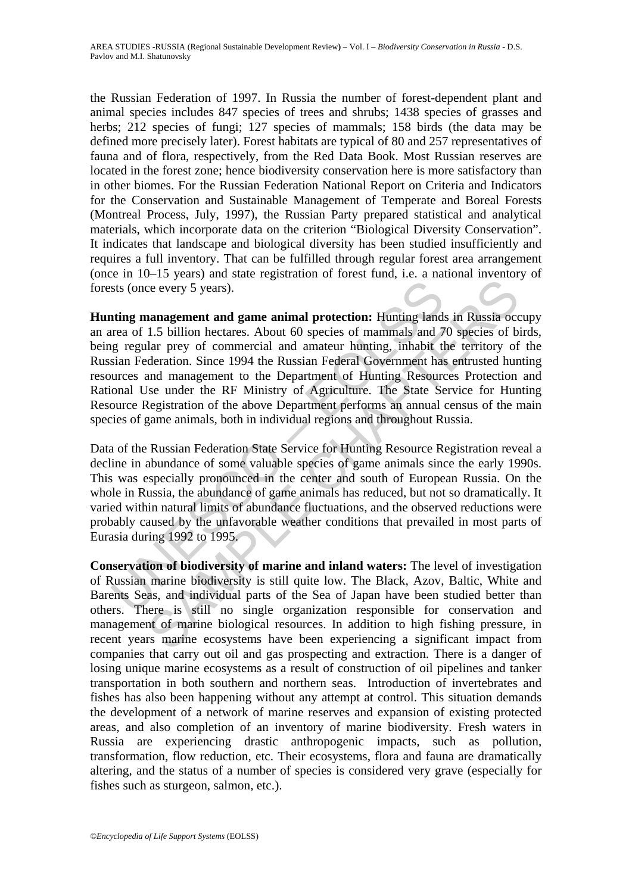the Russian Federation of 1997. In Russia the number of forest-dependent plant and animal species includes 847 species of trees and shrubs; 1438 species of grasses and herbs; 212 species of fungi; 127 species of mammals; 158 birds (the data may be defined more precisely later). Forest habitats are typical of 80 and 257 representatives of fauna and of flora, respectively, from the Red Data Book. Most Russian reserves are located in the forest zone; hence biodiversity conservation here is more satisfactory than in other biomes. For the Russian Federation National Report on Criteria and Indicators for the Conservation and Sustainable Management of Temperate and Boreal Forests (Montreal Process, July, 1997), the Russian Party prepared statistical and analytical materials, which incorporate data on the criterion "Biological Diversity Conservation". It indicates that landscape and biological diversity has been studied insufficiently and requires a full inventory. That can be fulfilled through regular forest area arrangement (once in 10–15 years) and state registration of forest fund, i.e. a national inventory of forests (once every 5 years).

sts (once every 5 years).<br>
ting management and game animal protection: Hunting land<br>
trea of 1.5 billion hectares. About 60 species of mammals and 7<br>
traje regular prey of commercial and amateur hunting, inhabit the<br>
sian every 5 years).<br>
ananagement and game animal protection: Hunting lands in Russia occurs<br>
1.5 billion hectares. About 60 species of mammals and 70 species of blar<br>
progress. About 60 species of mammals and 70 species of bla **Hunting management and game animal protection:** Hunting lands in Russia occupy an area of 1.5 billion hectares. About 60 species of mammals and 70 species of birds, being regular prey of commercial and amateur hunting, inhabit the territory of the Russian Federation. Since 1994 the Russian Federal Government has entrusted hunting resources and management to the Department of Hunting Resources Protection and Rational Use under the RF Ministry of Agriculture. The State Service for Hunting Resource Registration of the above Department performs an annual census of the main species of game animals, both in individual regions and throughout Russia.

Data of the Russian Federation State Service for Hunting Resource Registration reveal a decline in abundance of some valuable species of game animals since the early 1990s. This was especially pronounced in the center and south of European Russia. On the whole in Russia, the abundance of game animals has reduced, but not so dramatically. It varied within natural limits of abundance fluctuations, and the observed reductions were probably caused by the unfavorable weather conditions that prevailed in most parts of Eurasia during 1992 to 1995.

**Conservation of biodiversity of marine and inland waters:** The level of investigation of Russian marine biodiversity is still quite low. The Black, Azov, Baltic, White and Barents Seas, and individual parts of the Sea of Japan have been studied better than others. There is still no single organization responsible for conservation and management of marine biological resources. In addition to high fishing pressure, in recent years marine ecosystems have been experiencing a significant impact from companies that carry out oil and gas prospecting and extraction. There is a danger of losing unique marine ecosystems as a result of construction of oil pipelines and tanker transportation in both southern and northern seas. Introduction of invertebrates and fishes has also been happening without any attempt at control. This situation demands the development of a network of marine reserves and expansion of existing protected areas, and also completion of an inventory of marine biodiversity. Fresh waters in Russia are experiencing drastic anthropogenic impacts, such as pollution, transformation, flow reduction, etc. Their ecosystems, flora and fauna are dramatically altering, and the status of a number of species is considered very grave (especially for fishes such as sturgeon, salmon, etc.).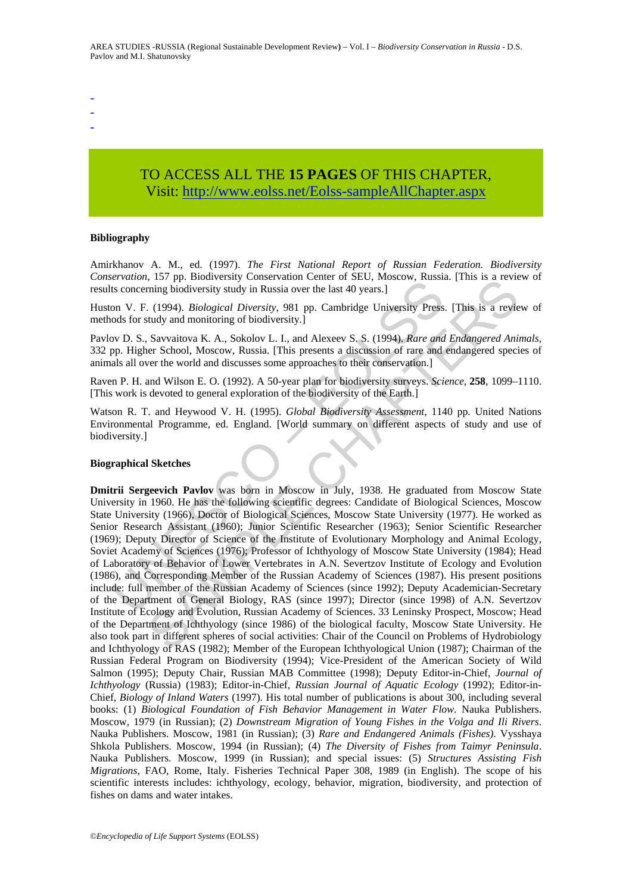- -
- -

# TO ACCESS ALL THE **15 PAGES** OF THIS CHAPTER, Visit[: http://www.eolss.net/Eolss-sampleAllChapter.aspx](https://www.eolss.net/ebooklib/sc_cart.aspx?File=E1-56-08)

#### **Bibliography**

Amirkhanov A. M., ed. (1997). *The First National Report of Russian Federation. Biodiversity Conservation*, 157 pp. Biodiversity Conservation Center of SEU, Moscow, Russia. [This is a review of results concerning biodiversity study in Russia over the last 40 years.]

Huston V. F. (1994). *Biological Diversity*, 981 pp. Cambridge University Press. [This is a review of methods for study and monitoring of biodiversity.]

Pavlov D. S., Savvaitova K. A., Sokolov L. I., and Alexeev S. S. (1994). *Rare and Endangered Animals*, 332 pp. Higher School, Moscow, Russia. [This presents a discussion of rare and endangered species of animals all over the world and discusses some approaches to their conservation.]

Raven P. H. and Wilson E. O. (1992). A 50-year plan for biodiversity surveys. *Science*, **258**, 1099–1110. [This work is devoted to general exploration of the biodiversity of the Earth.]

Watson R. T. and Heywood V. H. (1995). *Global Biodiversity Assessment*, 1140 pp. United Nations Environmental Programme, ed. England. [World summary on different aspects of study and use of biodiversity.]

#### **Biographical Sketches**

Framin, 127 pp. Doouvelay Conselv and Center of DEO, Moscow, Russian<br>
is concerning biodiversity study in Russian over the last 40 years.]<br>
on V. F. (1994). *Biological Diversity*, 981 pp. Cambridge University Press<br>
ods f 1.19 pp. Blowtensity Conservation Center to Sect. *whoscow, Kussia*. [1111s is a review,  $\sum_{i=1}^{\infty}$  For production (1984). *Bloofogical Diversity*, 981 pp. Cambridge University Press. [This is a review),  $\sum_{i=1}^{\infty}$ **Dmitrii Sergeevich Pavlov** was born in Moscow in July, 1938. He graduated from Moscow State University in 1960. He has the following scientific degrees: Candidate of Biological Sciences, Moscow State University (1966), Doctor of Biological Sciences, Moscow State University (1977). He worked as Senior Research Assistant (1960); Junior Scientific Researcher (1963); Senior Scientific Researcher (1969); Deputy Director of Science of the Institute of Evolutionary Morphology and Animal Ecology, Soviet Academy of Sciences (1976); Professor of Ichthyology of Moscow State University (1984); Head of Laboratory of Behavior of Lower Vertebrates in A.N. Severtzov Institute of Ecology and Evolution (1986), and Corresponding Member of the Russian Academy of Sciences (1987). His present positions include: full member of the Russian Academy of Sciences (since 1992); Deputy Academician-Secretary of the Department of General Biology, RAS (since 1997); Director (since 1998) of A.N. Severtzov Institute of Ecology and Evolution, Russian Academy of Sciences. 33 Leninsky Prospect, Moscow; Head of the Department of Ichthyology (since 1986) of the biological faculty, Moscow State University. He also took part in different spheres of social activities: Chair of the Council on Problems of Hydrobiology and Ichthyology of RAS (1982); Member of the European Ichthyological Union (1987); Chairman of the Russian Federal Program on Biodiversity (1994); Vice-President of the American Society of Wild Salmon (1995); Deputy Chair, Russian MAB Committee (1998); Deputy Editor-in-Chief, *Journal of Ichthyology* (Russia) (1983); Editor-in-Chief, *Russian Journal of Aquatic Ecology* (1992); Editor-in-Chief, *Biology of Inland Waters* (1997). His total number of publications is about 300, including several books: (1) *Biological Foundation of Fish Behavior Management in Water Flow*. Nauka Publishers. Moscow, 1979 (in Russian); (2) *Downstream Migration of Young Fishes in the Volga and Ili Rivers*. Nauka Publishers. Moscow, 1981 (in Russian); (3) *Rare and Endangered Animals (Fishes)*. Vysshaya Shkola Publishers. Moscow, 1994 (in Russian); (4) *The Diversity of Fishes from Taimyr Peninsula*. Nauka Publishers. Moscow, 1999 (in Russian); and special issues: (5) *Structures Assisting Fish Migrations*, FAO, Rome, Italy. Fisheries Technical Paper 308, 1989 (in English). The scope of his scientific interests includes: ichthyology, ecology, behavior, migration, biodiversity, and protection of fishes on dams and water intakes.